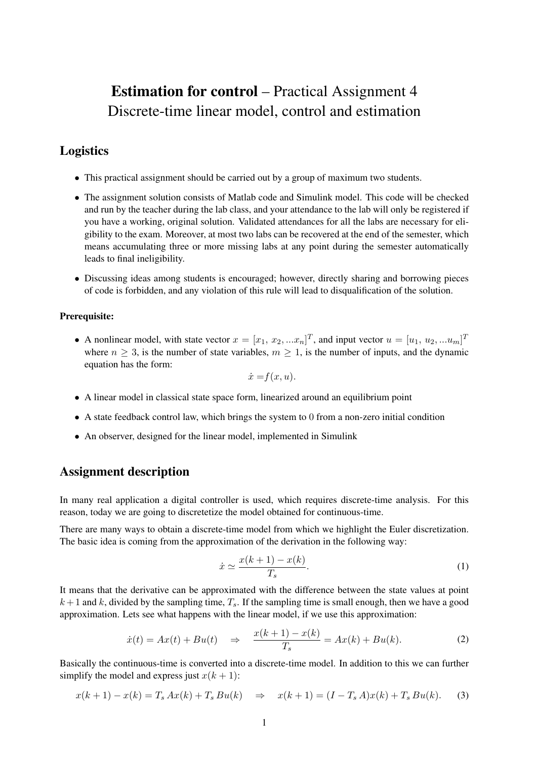# Estimation for control – Practical Assignment 4 Discrete-time linear model, control and estimation

## Logistics

- This practical assignment should be carried out by a group of maximum two students.
- The assignment solution consists of Matlab code and Simulink model. This code will be checked and run by the teacher during the lab class, and your attendance to the lab will only be registered if you have a working, original solution. Validated attendances for all the labs are necessary for eligibility to the exam. Moreover, at most two labs can be recovered at the end of the semester, which means accumulating three or more missing labs at any point during the semester automatically leads to final ineligibility.
- Discussing ideas among students is encouraged; however, directly sharing and borrowing pieces of code is forbidden, and any violation of this rule will lead to disqualification of the solution.

#### Prerequisite:

• A nonlinear model, with state vector  $x = [x_1, x_2, ... x_n]^T$ , and input vector  $u = [u_1, u_2, ... u_m]^T$ where  $n \geq 3$ , is the number of state variables,  $m \geq 1$ , is the number of inputs, and the dynamic equation has the form:

$$
\dot{x} = f(x, u).
$$

- A linear model in classical state space form, linearized around an equilibrium point
- A state feedback control law, which brings the system to 0 from a non-zero initial condition
- An observer, designed for the linear model, implemented in Simulink

## Assignment description

In many real application a digital controller is used, which requires discrete-time analysis. For this reason, today we are going to discretetize the model obtained for continuous-time.

There are many ways to obtain a discrete-time model from which we highlight the Euler discretization. The basic idea is coming from the approximation of the derivation in the following way:

$$
\dot{x} \simeq \frac{x(k+1) - x(k)}{T_s}.\tag{1}
$$

It means that the derivative can be approximated with the difference between the state values at point  $k+1$  and k, divided by the sampling time,  $T_s$ . If the sampling time is small enough, then we have a good approximation. Lets see what happens with the linear model, if we use this approximation:

$$
\dot{x}(t) = Ax(t) + Bu(t) \quad \Rightarrow \quad \frac{x(k+1) - x(k)}{T_s} = Ax(k) + Bu(k). \tag{2}
$$

Basically the continuous-time is converted into a discrete-time model. In addition to this we can further simplify the model and express just  $x(k + 1)$ :

$$
x(k+1) - x(k) = T_s A x(k) + T_s B u(k) \Rightarrow x(k+1) = (I - T_s A) x(k) + T_s B u(k).
$$
 (3)